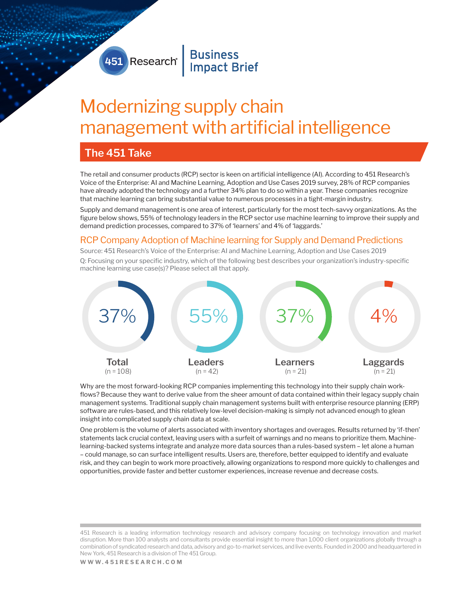## 451 Research **Business<br>Impact Brief**

## Modernizing supply chain management with artificial intelligence

## **The 451 Take**

The retail and consumer products (RCP) sector is keen on artificial intelligence (AI). According to 451 Research's Voice of the Enterprise: AI and Machine Learning, Adoption and Use Cases 2019 survey, 28% of RCP companies have already adopted the technology and a further 34% plan to do so within a year. These companies recognize that machine learning can bring substantial value to numerous processes in a tight-margin industry.

Supply and demand management is one area of interest, particularly for the most tech-savvy organizations. As the figure below shows, 55% of technology leaders in the RCP sector use machine learning to improve their supply and demand prediction processes, compared to 37% of 'learners' and 4% of 'laggards.'

#### RCP Company Adoption of Machine learning for Supply and Demand Predictions

Source: 451 Research's Voice of the Enterprise: AI and Machine Learning, Adoption and Use Cases 2019 Q: Focusing on your specific industry, which of the following best describes your organization's industry-specific





Why are the most forward-looking RCP companies implementing this technology into their supply chain workflows? Because they want to derive value from the sheer amount of data contained within their legacy supply chain management systems. Traditional supply chain management systems built with enterprise resource planning (ERP) software are rules-based, and this relatively low-level decision-making is simply not advanced enough to glean insight into complicated supply chain data at scale.

One problem is the volume of alerts associated with inventory shortages and overages. Results returned by 'if-then' statements lack crucial context, leaving users with a surfeit of warnings and no means to prioritize them. Machinelearning-backed systems integrate and analyze more data sources than a rules-based system – let alone a human – could manage, so can surface intelligent results. Users are, therefore, better equipped to identify and evaluate risk, and they can begin to work more proactively, allowing organizations to respond more quickly to challenges and opportunities, provide faster and better customer experiences, increase revenue and decrease costs.

<sup>451</sup> Research is a leading information technology research and advisory company focusing on technology innovation and market disruption. More than 100 analysts and consultants provide essential insight to more than 1,000 client organizations globally through a combination of syndicated research and data, advisory and go-to-market services, and live events. Founded in 2000 and headquartered in New York, 451 Research is a division of The 451 Group.